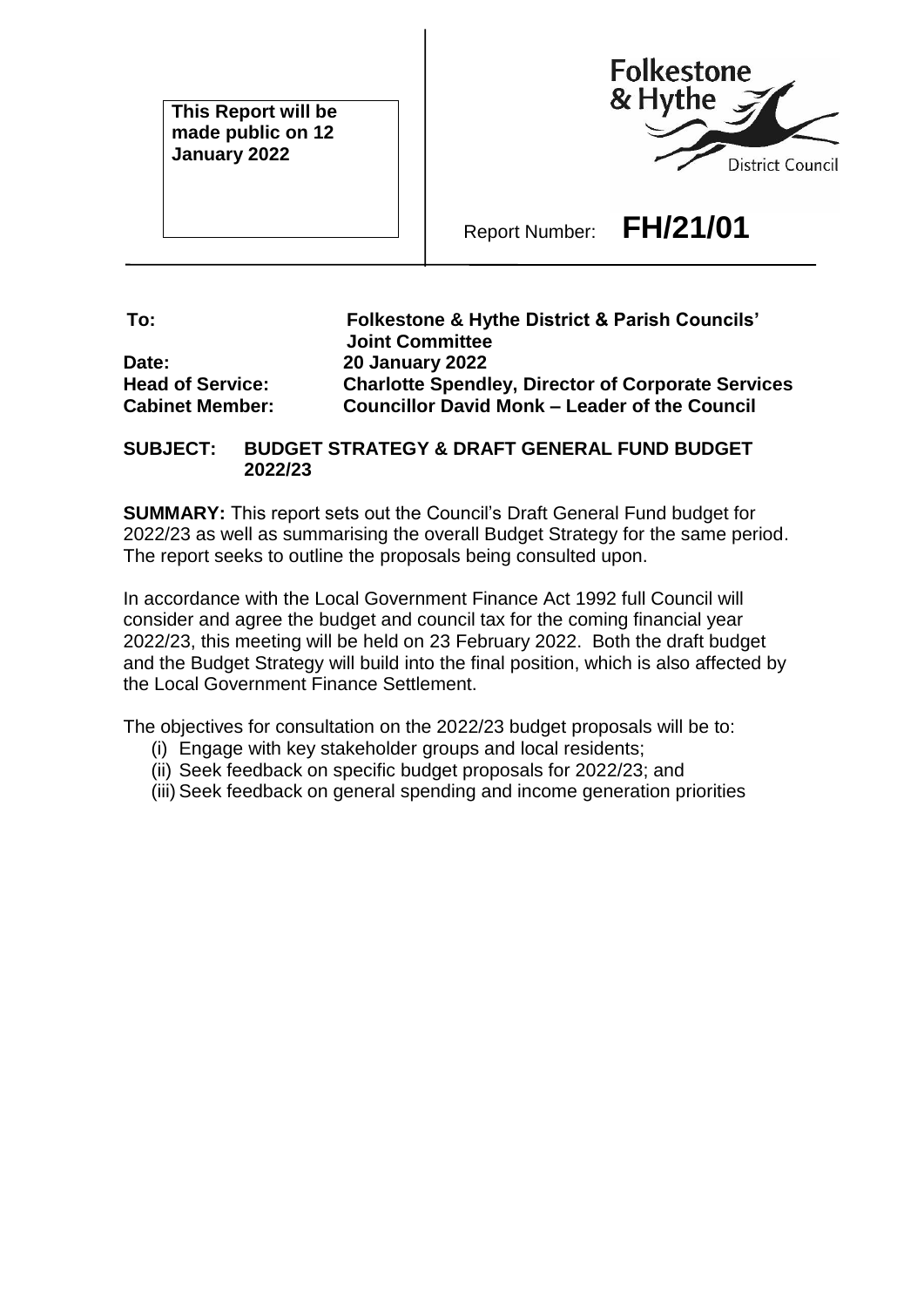**This Report will be made public on 12 January 2022**



Report Number: **FH/21/01**

**To: Folkestone & Hythe District & Parish Councils' Joint Committee Date: 20 January 2022 Head of Service: Charlotte Spendley, Director of Corporate Services Cabinet Member: Councillor David Monk – Leader of the Council**

## **SUBJECT: BUDGET STRATEGY & DRAFT GENERAL FUND BUDGET 2022/23**

**SUMMARY:** This report sets out the Council's Draft General Fund budget for 2022/23 as well as summarising the overall Budget Strategy for the same period. The report seeks to outline the proposals being consulted upon.

In accordance with the Local Government Finance Act 1992 full Council will consider and agree the budget and council tax for the coming financial year 2022/23, this meeting will be held on 23 February 2022. Both the draft budget and the Budget Strategy will build into the final position, which is also affected by the Local Government Finance Settlement.

The objectives for consultation on the 2022/23 budget proposals will be to:

- (i) Engage with key stakeholder groups and local residents;
- (ii) Seek feedback on specific budget proposals for 2022/23; and
- (iii) Seek feedback on general spending and income generation priorities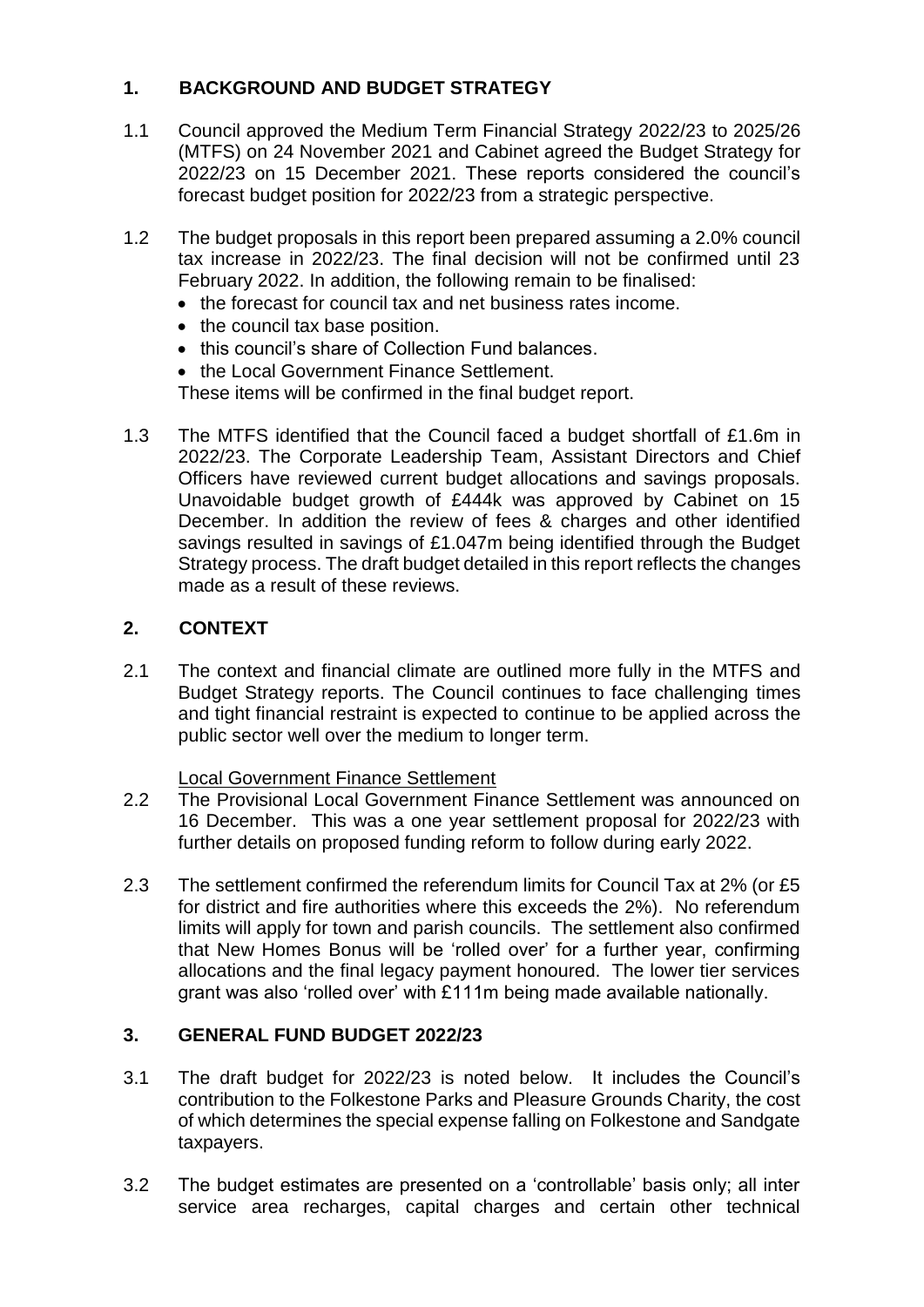# **1. BACKGROUND AND BUDGET STRATEGY**

- 1.1 Council approved the Medium Term Financial Strategy 2022/23 to 2025/26 (MTFS) on 24 November 2021 and Cabinet agreed the Budget Strategy for 2022/23 on 15 December 2021. These reports considered the council's forecast budget position for 2022/23 from a strategic perspective.
- 1.2 The budget proposals in this report been prepared assuming a 2.0% council tax increase in 2022/23. The final decision will not be confirmed until 23 February 2022. In addition, the following remain to be finalised:
	- the forecast for council tax and net business rates income.
	- the council tax base position.
	- this council's share of Collection Fund balances.
	- the Local Government Finance Settlement.

These items will be confirmed in the final budget report.

1.3 The MTFS identified that the Council faced a budget shortfall of £1.6m in 2022/23. The Corporate Leadership Team, Assistant Directors and Chief Officers have reviewed current budget allocations and savings proposals. Unavoidable budget growth of £444k was approved by Cabinet on 15 December. In addition the review of fees & charges and other identified savings resulted in savings of £1.047m being identified through the Budget Strategy process. The draft budget detailed in this report reflects the changes made as a result of these reviews.

# **2. CONTEXT**

2.1 The context and financial climate are outlined more fully in the MTFS and Budget Strategy reports. The Council continues to face challenging times and tight financial restraint is expected to continue to be applied across the public sector well over the medium to longer term.

#### Local Government Finance Settlement

- 2.2 The Provisional Local Government Finance Settlement was announced on 16 December. This was a one year settlement proposal for 2022/23 with further details on proposed funding reform to follow during early 2022.
- 2.3 The settlement confirmed the referendum limits for Council Tax at 2% (or £5 for district and fire authorities where this exceeds the 2%). No referendum limits will apply for town and parish councils. The settlement also confirmed that New Homes Bonus will be 'rolled over' for a further year, confirming allocations and the final legacy payment honoured. The lower tier services grant was also 'rolled over' with £111m being made available nationally.

## **3. GENERAL FUND BUDGET 2022/23**

- 3.1 The draft budget for 2022/23 is noted below. It includes the Council's contribution to the Folkestone Parks and Pleasure Grounds Charity, the cost of which determines the special expense falling on Folkestone and Sandgate taxpayers.
- 3.2 The budget estimates are presented on a 'controllable' basis only; all inter service area recharges, capital charges and certain other technical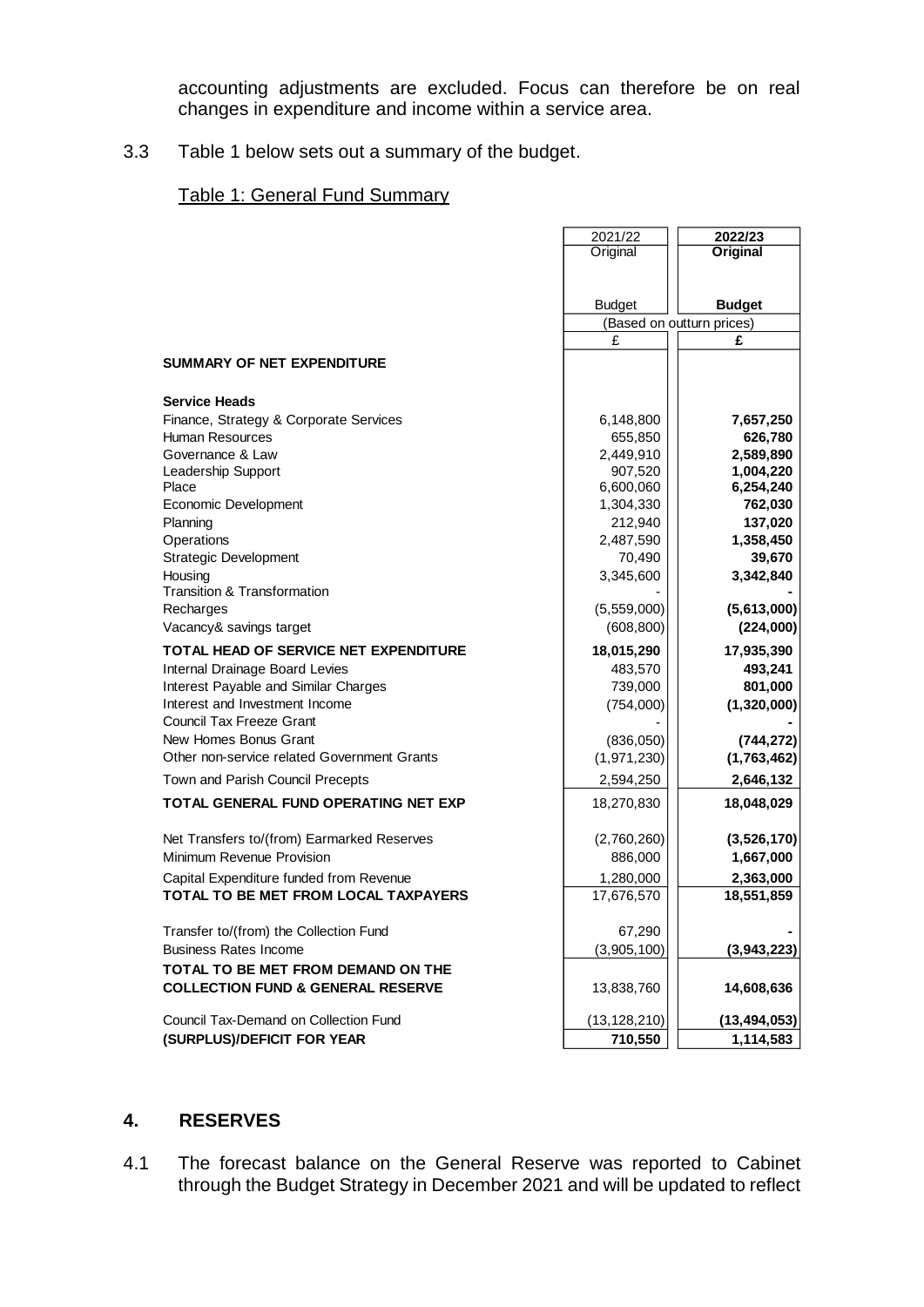accounting adjustments are excluded. Focus can therefore be on real changes in expenditure and income within a service area.

## 3.3 Table 1 below sets out a summary of the budget.

#### Table 1: General Fund Summary

|                                              | 2021/22        | 2022/23                   |  |
|----------------------------------------------|----------------|---------------------------|--|
|                                              | Original       | <b>Original</b>           |  |
|                                              |                |                           |  |
|                                              | <b>Budget</b>  | <b>Budget</b>             |  |
|                                              |                | (Based on outturn prices) |  |
|                                              | £              | £                         |  |
| <b>SUMMARY OF NET EXPENDITURE</b>            |                |                           |  |
| <b>Service Heads</b>                         |                |                           |  |
| Finance, Strategy & Corporate Services       | 6,148,800      | 7,657,250                 |  |
| <b>Human Resources</b>                       | 655,850        | 626,780                   |  |
| Governance & Law                             | 2,449,910      | 2,589,890                 |  |
| Leadership Support                           | 907,520        | 1,004,220                 |  |
| Place                                        | 6,600,060      | 6,254,240                 |  |
| Economic Development                         | 1,304,330      | 762,030                   |  |
| Planning                                     | 212,940        | 137,020                   |  |
| Operations                                   | 2,487,590      | 1,358,450                 |  |
| <b>Strategic Development</b>                 | 70,490         | 39,670                    |  |
| Housing                                      | 3,345,600      | 3,342,840                 |  |
| Transition & Transformation                  |                |                           |  |
| Recharges                                    | (5,559,000)    | (5,613,000)               |  |
| Vacancy& savings target                      | (608, 800)     | (224,000)                 |  |
| TOTAL HEAD OF SERVICE NET EXPENDITURE        | 18,015,290     | 17,935,390                |  |
| Internal Drainage Board Levies               | 483,570        | 493,241                   |  |
| Interest Payable and Similar Charges         | 739,000        | 801,000                   |  |
| Interest and Investment Income               | (754,000)      | (1,320,000)               |  |
| Council Tax Freeze Grant                     |                |                           |  |
| New Homes Bonus Grant                        | (836,050)      | (744, 272)                |  |
| Other non-service related Government Grants  | (1,971,230)    | (1,763,462)               |  |
| Town and Parish Council Precepts             | 2,594,250      | 2,646,132                 |  |
| <b>TOTAL GENERAL FUND OPERATING NET EXP</b>  | 18,270,830     | 18,048,029                |  |
| Net Transfers to/(from) Earmarked Reserves   | (2,760,260)    | (3,526,170)               |  |
| Minimum Revenue Provision                    | 886,000        | 1,667,000                 |  |
| Capital Expenditure funded from Revenue      | 1,280,000      | 2,363,000                 |  |
| TOTAL TO BE MET FROM LOCAL TAXPAYERS         | 17,676,570     | 18,551,859                |  |
| Transfer to/(from) the Collection Fund       | 67,290         |                           |  |
| <b>Business Rates Income</b>                 | (3,905,100)    | (3,943,223)               |  |
| TOTAL TO BE MET FROM DEMAND ON THE           |                |                           |  |
| <b>COLLECTION FUND &amp; GENERAL RESERVE</b> | 13,838,760     | 14,608,636                |  |
| Council Tax-Demand on Collection Fund        | (13, 128, 210) | (13, 494, 053)            |  |
| (SURPLUS)/DEFICIT FOR YEAR                   | 710,550        | 1,114,583                 |  |

## **4. RESERVES**

4.1 The forecast balance on the General Reserve was reported to Cabinet through the Budget Strategy in December 2021 and will be updated to reflect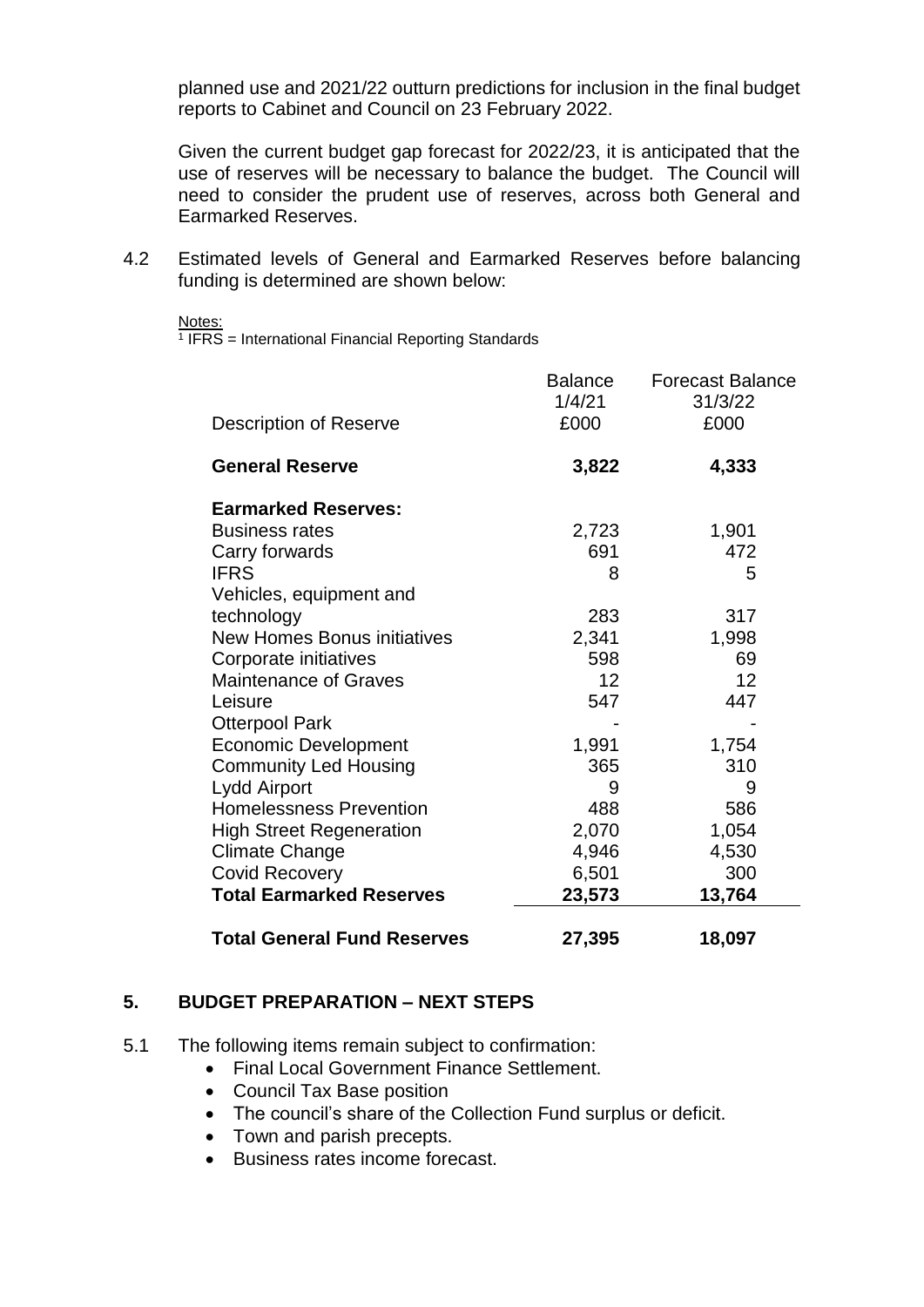planned use and 2021/22 outturn predictions for inclusion in the final budget reports to Cabinet and Council on 23 February 2022.

Given the current budget gap forecast for 2022/23, it is anticipated that the use of reserves will be necessary to balance the budget. The Council will need to consider the prudent use of reserves, across both General and Earmarked Reserves.

4.2 Estimated levels of General and Earmarked Reserves before balancing funding is determined are shown below:

Notes:

<sup>1</sup> IFRS = International Financial Reporting Standards

|                                    | Balance<br>1/4/21 | <b>Forecast Balance</b><br>31/3/22 |
|------------------------------------|-------------------|------------------------------------|
| Description of Reserve             | £000              | £000                               |
| <b>General Reserve</b>             | 3,822             | 4,333                              |
| <b>Earmarked Reserves:</b>         |                   |                                    |
| <b>Business rates</b>              | 2,723             | 1,901                              |
| Carry forwards                     | 691               | 472                                |
| <b>IFRS</b>                        | 8                 | 5                                  |
| Vehicles, equipment and            |                   |                                    |
| technology                         | 283               | 317                                |
| <b>New Homes Bonus initiatives</b> | 2,341             | 1,998                              |
| Corporate initiatives              | 598               | 69                                 |
| <b>Maintenance of Graves</b>       | 12                | 12                                 |
| Leisure                            | 547               | 447                                |
| <b>Otterpool Park</b>              |                   |                                    |
| <b>Economic Development</b>        | 1,991             | 1,754                              |
| <b>Community Led Housing</b>       | 365               | 310                                |
| Lydd Airport                       | 9                 | 9                                  |
| <b>Homelessness Prevention</b>     | 488               | 586                                |
| <b>High Street Regeneration</b>    | 2,070             | 1,054                              |
| <b>Climate Change</b>              | 4,946             | 4,530                              |
| <b>Covid Recovery</b>              | 6,501             | 300                                |
| <b>Total Earmarked Reserves</b>    | 23,573            | 13,764                             |
| <b>Total General Fund Reserves</b> | 27,395            | 18,097                             |

#### **5. BUDGET PREPARATION – NEXT STEPS**

- 5.1 The following items remain subject to confirmation:
	- Final Local Government Finance Settlement.
	- Council Tax Base position
	- The council's share of the Collection Fund surplus or deficit.
	- Town and parish precepts.
	- Business rates income forecast.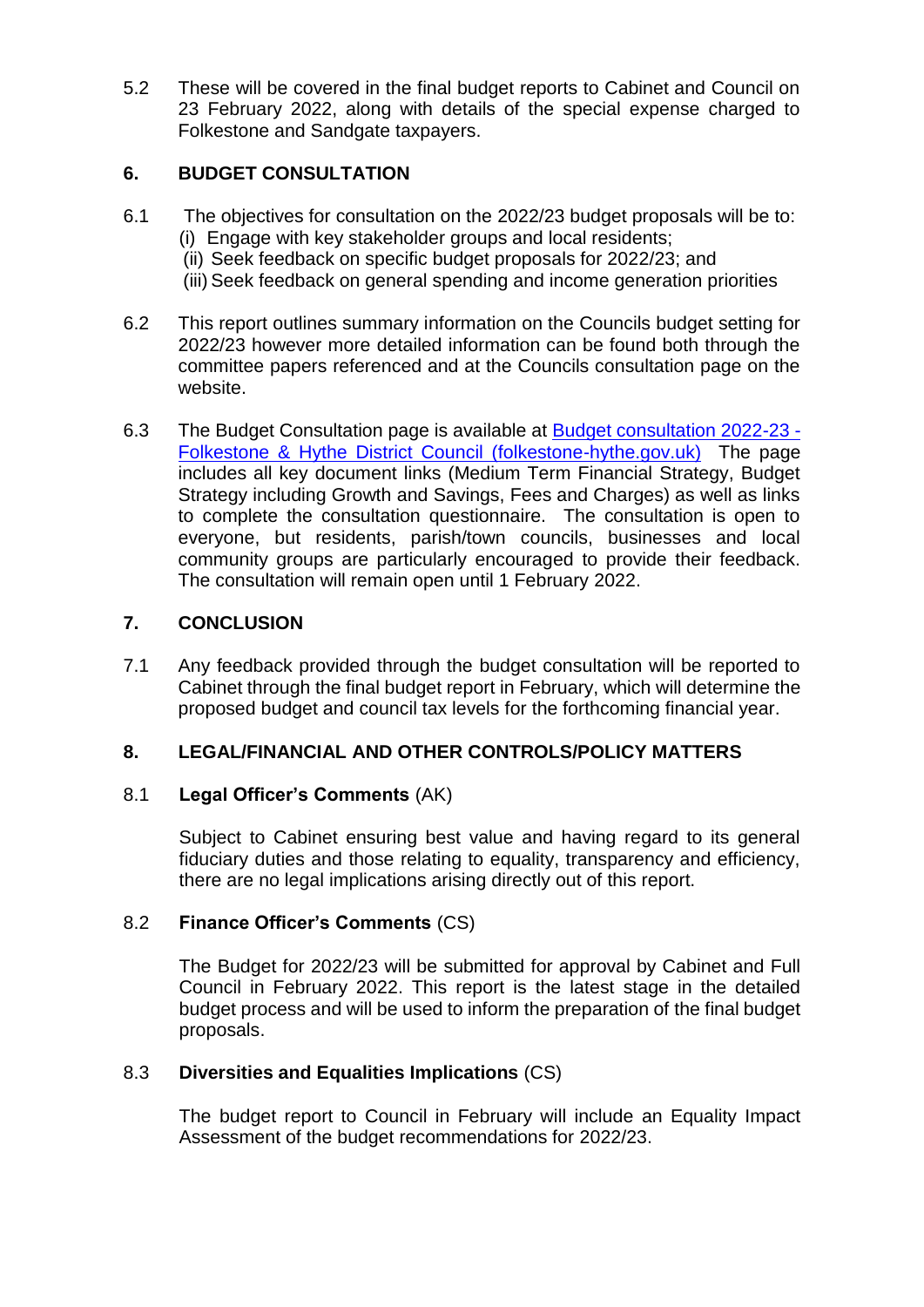5.2 These will be covered in the final budget reports to Cabinet and Council on 23 February 2022, along with details of the special expense charged to Folkestone and Sandgate taxpayers.

## **6. BUDGET CONSULTATION**

- 6.1 The objectives for consultation on the 2022/23 budget proposals will be to: (i) Engage with key stakeholder groups and local residents;
	- (ii) Seek feedback on specific budget proposals for 2022/23; and
	- (iii) Seek feedback on general spending and income generation priorities
- 6.2 This report outlines summary information on the Councils budget setting for 2022/23 however more detailed information can be found both through the committee papers referenced and at the Councils consultation page on the website.
- 6.3 The Budget Consultation page is available at [Budget consultation 2022-23 -](https://www.folkestone-hythe.gov.uk/consultations/budgetconsultation) [Folkestone & Hythe District Council \(folkestone-hythe.gov.uk\)](https://www.folkestone-hythe.gov.uk/consultations/budgetconsultation) The page includes all key document links (Medium Term Financial Strategy, Budget Strategy including Growth and Savings, Fees and Charges) as well as links to complete the consultation questionnaire. The consultation is open to everyone, but residents, parish/town councils, businesses and local community groups are particularly encouraged to provide their feedback. The consultation will remain open until 1 February 2022.

## **7. CONCLUSION**

7.1 Any feedback provided through the budget consultation will be reported to Cabinet through the final budget report in February, which will determine the proposed budget and council tax levels for the forthcoming financial year.

## **8. LEGAL/FINANCIAL AND OTHER CONTROLS/POLICY MATTERS**

#### 8.1 **Legal Officer's Comments** (AK)

Subject to Cabinet ensuring best value and having regard to its general fiduciary duties and those relating to equality, transparency and efficiency, there are no legal implications arising directly out of this report.

#### 8.2 **Finance Officer's Comments** (CS)

The Budget for 2022/23 will be submitted for approval by Cabinet and Full Council in February 2022. This report is the latest stage in the detailed budget process and will be used to inform the preparation of the final budget proposals.

## 8.3 **Diversities and Equalities Implications** (CS)

The budget report to Council in February will include an Equality Impact Assessment of the budget recommendations for 2022/23.